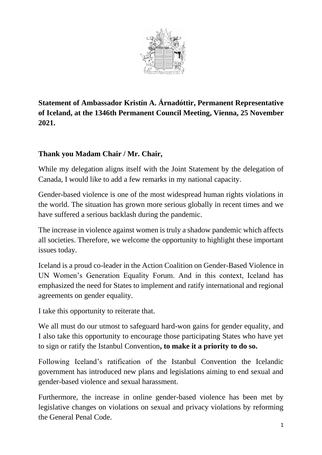

**Statement of Ambassador Kristín A. Árnadóttir, Permanent Representative of Iceland, at the 1346th Permanent Council Meeting, Vienna, 25 November 2021.** 

## **Thank you Madam Chair / Mr. Chair,**

While my delegation aligns itself with the Joint Statement by the delegation of Canada, I would like to add a few remarks in my national capacity.

Gender-based violence is one of the most widespread human rights violations in the world. The situation has grown more serious globally in recent times and we have suffered a serious backlash during the pandemic.

The increase in violence against women is truly a shadow pandemic which affects all societies. Therefore, we welcome the opportunity to highlight these important issues today.

Iceland is a proud co-leader in the Action Coalition on Gender-Based Violence in UN Women's Generation Equality Forum. And in this context, Iceland has emphasized the need for States to implement and ratify international and regional agreements on gender equality.

I take this opportunity to reiterate that.

We all must do our utmost to safeguard hard-won gains for gender equality, and I also take this opportunity to encourage those participating States who have yet to sign or ratify the Istanbul Convention**, to make it a priority to do so.**

Following Iceland's ratification of the Istanbul Convention the Icelandic government has introduced new plans and legislations aiming to end sexual and gender-based violence and sexual harassment.

Furthermore, the increase in online gender-based violence has been met by legislative changes on violations on sexual and privacy violations by reforming the General Penal Code.